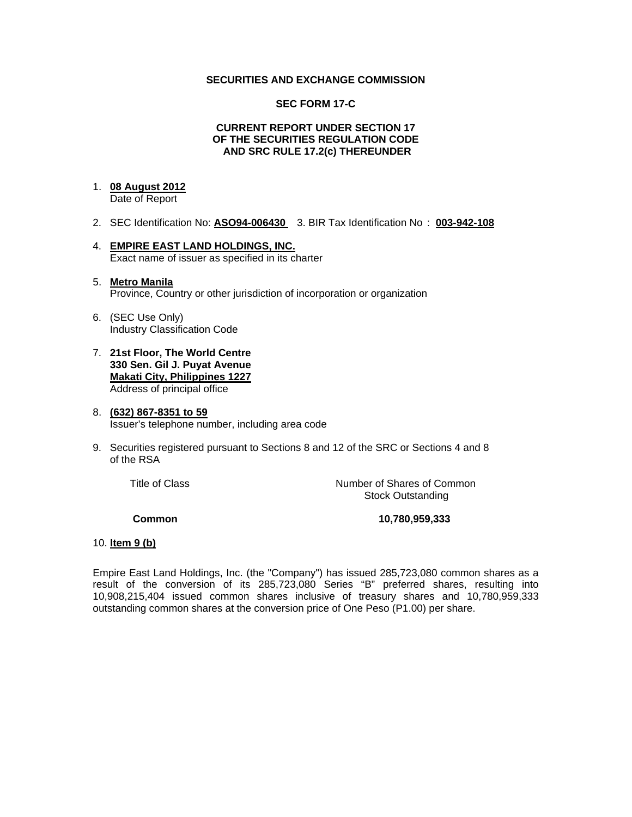### **SECURITIES AND EXCHANGE COMMISSION**

#### **SEC FORM 17-C**

#### **CURRENT REPORT UNDER SECTION 17 OF THE SECURITIES REGULATION CODE AND SRC RULE 17.2(c) THEREUNDER**

### 1. **08 August 2012**

Date of Report

- 2. SEC Identification No: **ASO94-006430** 3. BIR Tax Identification No : **003-942-108**
- 4. **EMPIRE EAST LAND HOLDINGS, INC.** Exact name of issuer as specified in its charter
- 5. **Metro Manila** Province, Country or other jurisdiction of incorporation or organization
- 6. (SEC Use Only) Industry Classification Code
- 7. **21st Floor, The World Centre 330 Sen. Gil J. Puyat Avenue Makati City, Philippines 1227** Address of principal office
- 8. **(632) 867-8351 to 59** Issuer's telephone number, including area code
- 9. Securities registered pursuant to Sections 8 and 12 of the SRC or Sections 4 and 8 of the RSA

 Title of ClassNumber of Shares of Common Stock Outstanding

**Common 10,780,959,333** 

#### 10. **Item 9 (b)**

Empire East Land Holdings, Inc. (the "Company") has issued 285,723,080 common shares as a result of the conversion of its 285,723,080 Series "B" preferred shares, resulting into 10,908,215,404 issued common shares inclusive of treasury shares and 10,780,959,333 outstanding common shares at the conversion price of One Peso (P1.00) per share.